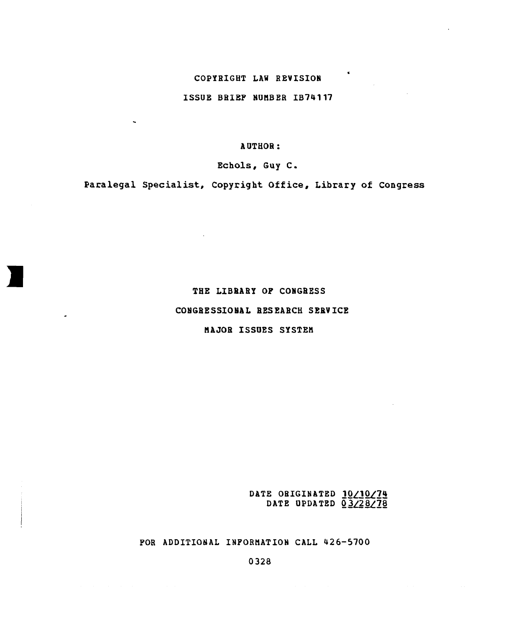## COPYRIGHT LAW REVISION

ISSUE BRIEF NUMBER IB74117

### AUTHOR:

Echols, Guy C.

Paralegal Specialist, Copyright Office, Library of Congress

## THE LIBRARY OF CONGRESS

## CONGRESSIONAL RESEARCH SERVICE

## MAJOR ISSUES SYSTEM

DATE ORIGINATED 10/10/74 DATE UPDATED  $\overline{0}$ 3/28/78

FOR ADDITIONAL INFORMATION CALL 426-5700

0328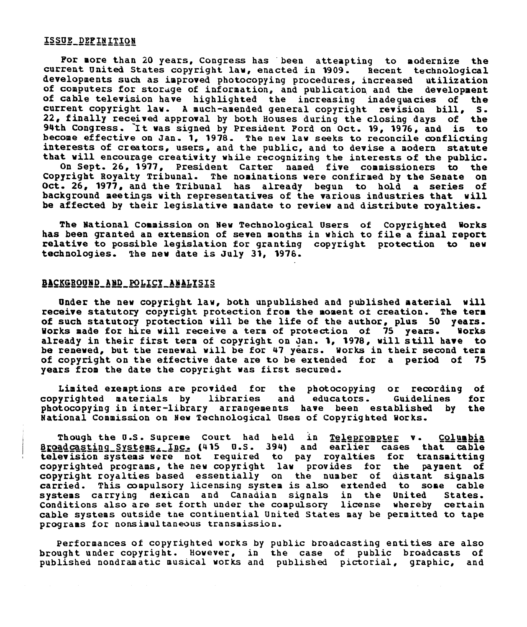# ISSUE DEFINITION

For more than 20 years, Congress has been attempting to modernize the current United States copyright law, enacted in 1909. Recent technological developments such as improved photocopying procedures, increased utilization of computers for storage of information, and publication and the development of cable television have highlighted the increasing inadequacies of the current copyright law. A much-amended general copyright revision bill, S. 22, finally received approval by both Houses during the closing days of the 94th Congress. 'It was signed by President Ford on Oct. 19, 1976, and is to become effective on Jan. 1, 1978. The new law seeks to reconcile conflicting interests of creators, users, and the public, and to devise a modern statute that will encourage creativity while recognizing the interests of the public. On Sept. 26, 1977, President Carter named five commissioners to the Copyright Royalty Tribunal. The nominations were confirmed by the Senate on Oct. 26, 1977, and the Tribunal has already begun to hold a series of background meetings with representatives of the various industries that will be affected by their legislative mandate to review and distribute royalties.

The National Commission on New Technological Users of Copyrighted Works has been granted an extension of seven months in which to file a final report relative to possible legislation for granting copyright protection to new technologies. The new date is July **31,** 1976.

# BACKGROUND **AND** POLICY ANALYSIS

Under the new copyright law, both unpublished and published material will receive statutory copyright protection from the moment of creation. The term of such statutory protection will be the life of the author, plus 50 years.<br>Works made for hire will receive a term of protection of 75 years. Works Works made for hire will receive a term of protection of 75 years. already in their first term of copyright on Jan. 1, 1978, will still have to be renewed, but the renewal will be for 47 years. Works in their second term of copyright on the effective date are to be extended for a period of 75 years from the date the copyright was first secured.

Limited exemptions are provided for the photocopying or recording of<br>vrighted materials by libraries and educators. Guidelines for copyrighted materials by libraries and educators. Guidelines for photocopying in inter-library arrangements have been established by National Commission on New Technological Uses of Copyrighted Works.

Though the U.S. Supreme Court had held in Teleprompter v. Columbia alogue and Suppose Court and Bord in ASASEASBEST ... SEASEASE television systems were not required to pay royalties for transmitting copyrighted programs, the new copyright law provides for the payment of copyright royalties based essentially on the number of distant signals carried. This compulsory licensing system is also extended to some cable systems carrying dexican and Canadian signals in the United States.<br>Conditions also are set forth under the compulsory license whereby certain Conditions also are set forth under the compulsory license cable systems outside tae contiuential United States may be permitted to tape programs for nonsimultaneous transmission.

Performances of copyrighted works by public broadcasting entities are also brought under copyright. However, in the case of public broadcasts of published nondramatic musical works and published pictorial, graphic, and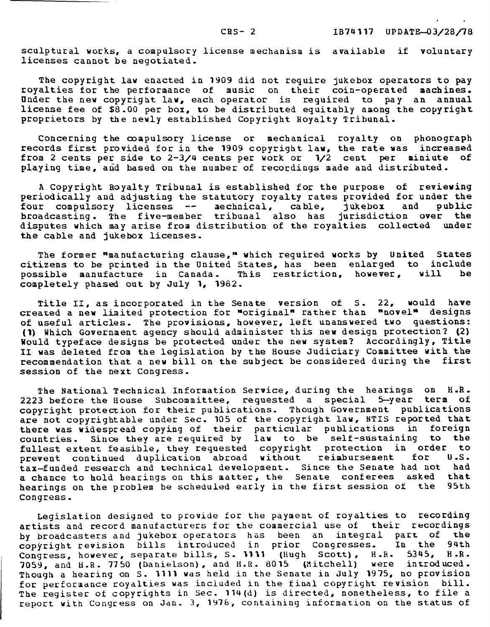sculptural works, a compulsory license mechanism is available if voluntary licenses cannot be negotiated.

The copyright law enacted in 1909 did not require jukebox operators to pay royalties for the performance of music on their coin-operated machines. Under the new copyright law, each operator is required to pay an annual license fee of \$8.00 per box, to be distributed equitably among the copyright proprietors by the newly established Copyright Royalty Tribunal.

Concerning the compulsory license or mechanical royalty on phonograph records first provided for in the 1909 copyright law, the rate was increased from 2 cents per side to 2-3/4 cents per work or 1/2 cent per miniute of playing time, and based on the number of recordings made and distributed.

A Copyright Royalty Tribunal is established for the purpose of reviewing periodically and adjusting the statutory royalty rates provided for under the<br>four compulsory licenses -- mechnical, cable, jukebox and public four compulsory licenses -- mechnical, cable, broadcasting. The five-member tribunal also has jurisdiction over the disputes which may arise from distribution of the royalties collected under the cable and jukebox licenses.

The former "manufacturing clause," which required works by United States citizens to be printed in the United States, has been enlarged to include<br>possible manufacture in Canada. This restriction, however, will be possible manufacture in Canada. This restriction, however, will completely phased out by July **1,** 1982.

Title II, as incorporated in the Senate version of S. 22, would have created a new limited protection for "original" rather than "novel" designs of useful articles. The provisions, however, left unanswered two questions: **(1)** Which Government agency should administer this new design protection? (2) Would typeface designs be protected under the new system? Accordingly, Title II was deleted from the legislation by the House Judiciary Committee with the recommendation that a new bill on the subject be considered during the first session of the next Congress.

The National Technical Information Service, during the hearings on H.R.<br>3 before the House Subcommittee, requested a special 5-year term of 2223 before the House Subcommittee, requested a special 5-year term copyright protection for their publications. Though Government publications are not copyrightable under Sec. 105 of the copyright law, NTIS reported that there was widespread copying of their particular publications in foreign countries. Since they are required by law to be self-sustaining to the fullest extent feasible, they requested copyright protection in order to<br>prevent continued duplication abroad without reimbursement for U.S. prevent continued duplication abroad without reimbursement tax-funded research and technical development. Since the Senate had not had<br>a chance to hold bearings on this matter, the Senate conferees asked that a chance to hold hearings on this matter, the Senate conferees asked that<br>hearings on the problem be scheduled early in the first session of the 95th hearings on the problem be scheduled early in the first session of the Congress.

Legislation designed to provide for the payment of royalties to recording artists and record manufacturers for the commercial use of their recordings<br>by broadcasters and jukebox operators has been an integral part of the by broadcasters and jukebox operators has been an integral part of the<br>copyright revision bills introduced in prior Congresses. In the 94th copyright revision bills introduced in prior Congresses. In the 94th<br>Congress, however, separate bills, S. 1111 (Hugh Scott), H.R. 5345, H.R. Congress, however, separate bills, S. 1111 (Hugh Scott), H.R. 7059, and H.R. 7750 (Danielson), and H.R. 8015 (Mitchell) were introduced. Though a hearing on S. 1111 was held in the Senate in July 1975, no provision for performance royalties was included in the final copyright revision bill. The register of copyrights in Sec. 114(d) is directed, nonetheless, to file a report with Congress on Jan. 3, 1976, containing information on the status of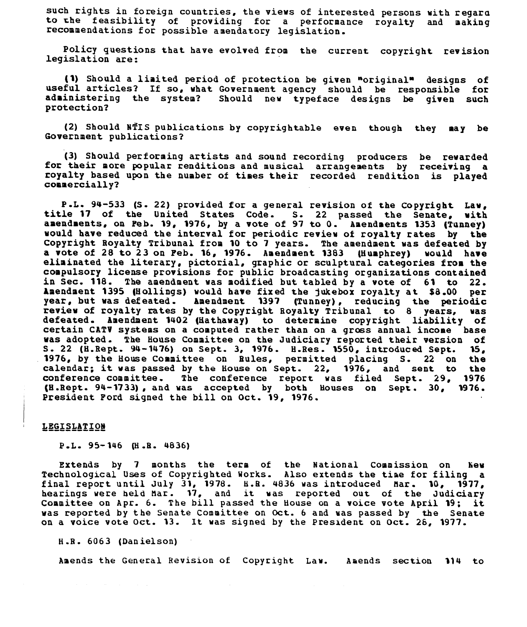such rights in foreign countries, the views of interested persons with regard to the feasibility of providing for a performance royalty and making recommendations for possible amendatory legislation.

Policy questions that have evolved from the current copyright revision legislation are:

**(1)** Should a limited period of protection be given "original" designs of useful articles? If so, what Government agency should be responsible for Should new typeface designs be given such protection?

(2) Should MTIS publications by copyrightable even though they may be Government publications?

**(3)** Should performing artists and sound recording producers be rewarded for their more popular renditions and musical arrangements by receiving a royalty based upon the number of times their recorded rendition is played commercially?

P.L. 94-533 (S. 22) provided for a general revision of the Copyright Law, title 17 of the United States Code. S. 22 passed the Senate, with amendments, on Feb. 19, 1976, by a vote of 97 to 0. Amendments 1353 (Tunney) would have reduced the interval for periodic review of royalty rates by the Copyright Royalty Tribunal from 10 to 7 years. The amendment was defeated by<br>a vote of 28 to 23 on Peb. 16, 1976. Amendment 1383 (Humphrey) would have a vote of  $28$  to  $23$  on Feb. 16, 1976. Amendment 1383 (Humphrey) eliminated the literary, pictorial, graphic or sculptural categories from the compulsory license provisions for public broadcasting organizations contained in Sec. 118. The amendment was modified but tabled by a vote of 61 to 22. Amendment 1395 (Hollings) would have fixed the jukebox royalty at \$8.00 per year, but was defeated. Amendment 1397 (Tunney), reducing the periodic<br>review of royalty rates by the Copyright Royalty Tribunal to 8 years, was review of royalty rates by the Copyright Royalty Tribunal to 8 defeated. Amendment 1402 (Hathaway) to determine copyright liability of certain CATV systems on a computed rather than on a gross annual income base was adopted. The House Committee on the Judiciary reported their version of S. 22 (H.Rept. 94-1476) on Sept. 3, 1976. H.Res. 1550, introduced Sept. 15, S. 22 (H.Rept. 94-1476) on Sept. 3, 1976. H.Res. 1550, introduced Sept. **15,** 1976, by the House Committee on Bules, permitted placing S. 22 on the calendar; it was passed by the House on Sept. 22, 1976, and sent to the conference committee. The conference report was filed Sept. 29, 1976.<br>(H.Rept. 94-1733), and was accepted by both Houses on Sept. 30, 1976. (H.Rept. 94-1733), and was accepted by both Houses on Sept. 30, President Ford signed the bill on Oct. 19, 1976.

#### LEGISLATION

#### P.L. 95-146 (H.B. 4836)

Extends by 7 months the term of the National Commission on New Technological Uses of Copyrighted Works. Also extends the tiae for filing a final report until July 31, 1978. **H.R.** 4836 was introduced Mar. 10, 1977, hearings were held Mar. 17, and it was reported out of the Judiciary Committee on Apr. 6. The bill passed the House on a voice vote April 19; it was reported by the Senate Committee on Oct. 6 and was passed by the Senate on a voice vote Oct. 13. It was signed by the President on Oct. 26, 1977

H.R. 6063 (Danielson)

Amends the General Revision of Copyright Law. Amends section 114 to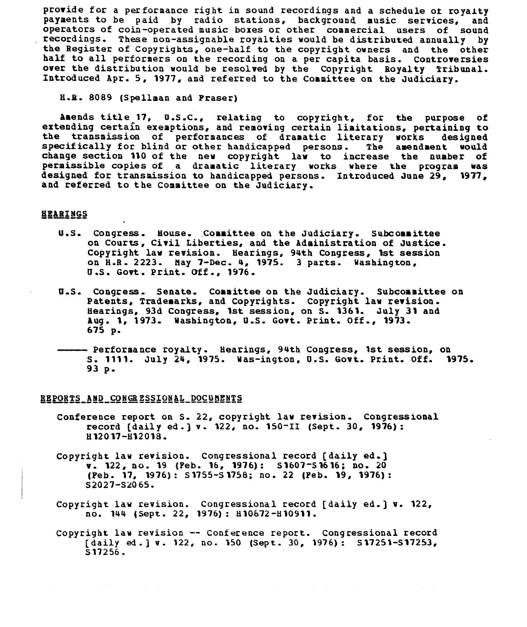provide for a performance right in sound recordings and a schedule ot royalty payments to be paid by radio stations, background music services, and operators of coin-operated music boxes or other commercial users of sound<br>recordings. These non-assignable royalties would be distributed annually by the Register of Copyrights, one-half to the copyright owners and the other half to all performers on the recording on a per capita basis. Controversies over the distribution would be resolved by the Copyright Royalty Tribunal. Introduced Apr. 5, 1977, and referred to the Committee on the Judiciary.

H.R. 8089 (Spellman and Praser)

Amends title 17, O.S.C., relating to copyright, for the purpose of extending certain exemptions, and removing certain limitations, pertaining to<br>the transmission of performances of dramatic literary works designed specifically for blind or other handicapped persons. The amendment would change section 110 of the new copyright law to increase the number of permissible copies of a dramatic literary works where the program was designed for transmission to handicapped persons. Introduced June 29, 1977, and referred to the Committee on the Judiciary.

## HEARINGS

- U.S. Congress. House. Committee on the Judiciary. Subcommittee on Courts, Civil Liberties, and the Administration of Justice. Copyright law revision. Hearings, 94th Congress, 1st session on H.R. 2223. May 7-Dec. 4, 1975. 3 parts. Washington, U.S. Govt. Print. Off., 1976.
- U.S. Congress. Senate. Committee on the Judiciary. Subcommittee on Patents, Trademarks, and Copyrights. Copyright law revision. Hearings, 93d Congress, 1st session, on S. 1361. July 31 and Aug. 1, 1973. Washington, U.S. Govt. Print. Off., 1973. 675 p.
- Performance royalty. Hearings, 94th Congress, 1st session, on S. 1111. July 24, 1975. Was-ington, U.S. Govt. Print. Off. 1975. 93 p.

#### REPORTS AND CONGRESSIONAL DOCUMENTS

- Conference report on S. 22, copyright law revision. Congressional record [daily ed.] v. 122, no. 150-II (Sept. 30, 1976): H12017-8H2018.
- Copyright law revision. Congressional record [daily ed.] v. 122, **no. 19** (Feb. **16, 1976): 51607-S1616;** no. 20 (Feb. **17, 1976): 51755-51758;** no. 22 (Feb. **19, 1976):** S2027-S2065.
- Copyright law revision. Congressional record [daily ed.] v. 122, no. 144 (Sept. 22, 1976): H10672-810911.
- Copyright law revision -- Conference report. Congressional record [daily ed.] v. 122, no. 150 (Sept. 30, 1976): **S17251-S17253,** S17256.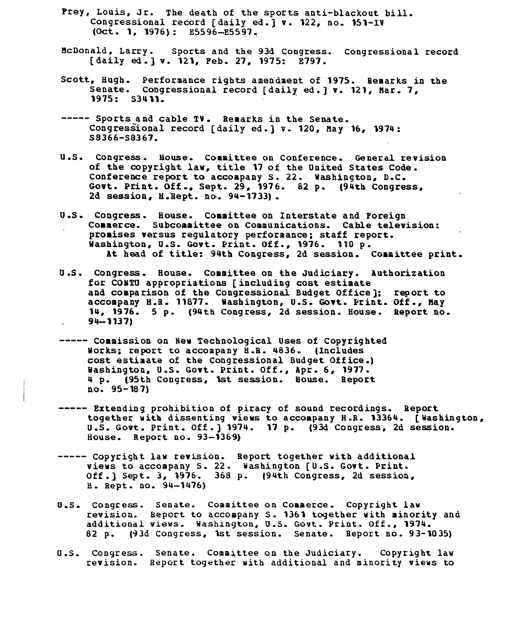- Prey, Louis, Jr. The death of the sports anti-blackout bill. Congressional record [daily ed.] v. 122, no. 151-IV (Oct. 1, 1976): E5596-E5597.
- McDonald, Larry. Sports and the 93d Congress. Congressional record [daily ed.] v. 121, Feb. **27, 1975:** E797.
- Scott, Hugh. Performance rights amendment of 1975. Remarks in the Senate. Congressional record [daily ed.] v. 121, Mar. 7, 1975: S3411.
- **-----** Sports and cable TV. Remarks in the Senate. Congressional record [daily ed.] v. 120, May **16,** 1974: **S8366-S8367.**
- U.S. Congress. House. Committee on Conference. General revision of the copyright law, title 17 of the United States Code. Conference report to accompany S. 22. Washington, D.C. Govt. Print. Off., Sept. 29, 1976. 62 p. (94th Congress, 2d session, H.Hept. no. 94-1733).
- U.S. Congress. House. Committee on Interstate and Poreign Commerce. Subcommittee on Communications. Cable television: promises versus regulatory performance; staff report. Washington, U.S. Govt. Print. Off., **1976.** 110 p. At head of title: 94th Congress, 2d session. Committee print.
- U.S. Congress. House. Committee on the Judiciary. Authorization for CONTO appropriations [including cost estimate and comparison of the Congressional Budget Office]; report to accompany H.R. **11877.** Washington, U.S. Govt. Print. Off., Hay 14, **1976.** 5 p. (94th Congress, 2d session. House. Report no. **94-1137)**
- **-----** Commission on New Technological Uses of Copyrighted Works; report to accompany H.R. 4836. (Includes cost estimate of the Congressional Budget Office.) Washington, U.S. Govt. Print. Off., Apr. 6, **1977.** 4 p. (95th Congress, **1st** session. House. Report no. 95-187)
- **-----** Extending prohibition of piracy of sound recordings. Report together with dissenting views to accompany H.R. 13364. [Washington, U.S. Govt. Print. Off.) 1974. 17 p. (93d Congress, 2d session. House. Report no. 93-1369)
- ----- Copyright law revision. Report together with additional views to accompany S. 22. Washington [U.S. Govt. Print. Off.] Sept. **3, 1976.** 368 p. (94th Congress, 2d session, H. Rept. no. 94-1476)
- U.S. Congress. Senate. Committee on Commerce. Copyright law revision. Report to accompany S. **1361** together with minority and additional views. Washington, U.S. Govt. Print. Off., 1974.<br>82 p. (93d Congress, 1st session. Senate. Report no. 93-10 82 p. **(93d** Congress, **1st** session. Senate. Report no. 93-1035)
- U.S. Congress. Senate. Committee on the Judiciary. Copyright law revision. Report together with additional and minority views to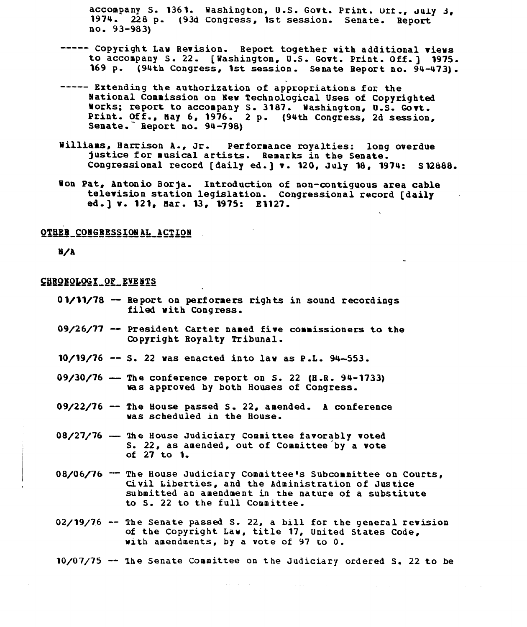accompany S. 1361. Washington, U.S. Govt. Print. urr., **July** J, 1974. 228 p. (93d Congress, 1st session. Senate. Report no. 93-983)

- **-----** Copyright Law Revision. Report together with additional views to accompany S. 22. [Washington, U.S. Govt. Print. Off.] 1975. 169 p. (94th Congress, 1st session. Senate Report no. 94-473).
- **-----** Extending the authorization of appropriations for the National Commission on New Technological Uses of Copyrighted Works; report to accompany S. 3187. Washington, U.S. Govt. Print. Off., May 6, 1976. 2 p. (94th Congress, 2d session, Senate. Report no. 94-798)
- Williams, Harrison A., Jr. Performance royalties: long overdue justice for musical artists. Remarks in the Senate. Congressional record [daily ed.] v. 120, July 18, 1974: S12888.
- Won Pat, Antonio Borja. Introduction of non-contiguous area cable television station legislation. Congressional record [daily ed.] v. 121, Bar. 13, 1975: E1127.

## **OTHER CONGRESSION AL ACTION**

**U/A**

## CHRONOLOGY\_OF\_EVENTS

- 01/11/78 -- Report on performers rights in sound recordings filed with Congress.
- 09/26/77 -- President Carter named five commissioners to the Copyright Royalty Tribunal.
- 10/19/76 -- S. 22 was enacted into law as P.L. 94-553.
- $09/30/76$  The conference report on S. 22 (H.R. 94-1733) was approved by both Houses of Congress.
- 09/22/76 -- The House passed **S.** 22, amended. A conference was scheduled in the House.
- 08/27/76 The House Judiciary Committee favorably voted S. 22, as amended, out of Committee by a vote of **27** to 1.
- 08/06/76 <sup>--</sup> The House Judiciary Committee's Subcommittee on Courts, Civil Liberties, and the Administration of Justice submitted an amendment in the nature of a substitute to S. 22 to the full Committee.
- 02/19/76 -- The Senate passed S. 22, a bill for the general revision of the Copyright Law, title **17,** United States Code, with amendments, by a vote of 97 to 0.

 $10/07/75$   $\sim$  The Senate Committee on the Judiciary ordered S. 22 to be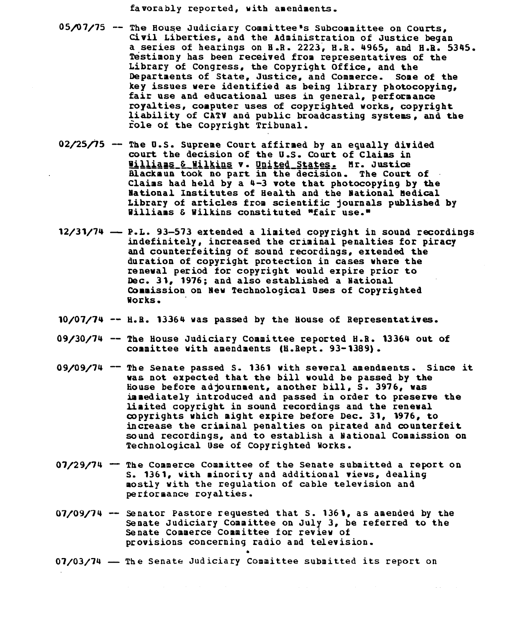favorably reported, with amendments.

- 05/07/75 -- The House Judiciary Committee's Subcommittee on Courts, Civil Liberties, and the Administration of Justice began a series of hearings on H.R. 2223, H.R. 4965, and H.R. 5345. Testimony has been received from representatives of the Library of Congress, the Copyright Office, and the<br>Departments of State, Justice, and Commerce. Some of the Departments of State, Justice, and Commerce. Some of the key issues were identified as being library photocopying, fair use and educational uses in general, performance royalties, computer uses of copyrighted works, copyright liability of CATV and public broadcasting systems, and the role of the Copyright Tribunal.
- **02/25/75**  The O.S. Supreme Court affirmed by an equally divided court the decision of the U.S. Court of Claims in illiams & Wilkins v. United States. Mr. Justice Blackmun took no part in the decision. The Court of Claims had held **by** a 4-3 vote that photocopying **by** the National Institutes of Health and the National Medical Library of articles from scientific journals published **by** Williams & Wilkins constituted "fair **use."**
- 12/31/74 P.L. **93-573** extended a limited copyright in sound recordings indefinitely, increased the criminal penalties for piracy and counterfeiting of sound recordings, extended the duration of copyright protection in cases where the renewal period for copyright would expire prior to Dec. **31, 1976;** and also established a National Commission on New Technological Uses of Copyrighted Works.
- **10/07/74** -- H.R. 13364 was passed **by** the House of Representatives.
- **09/30/74** -- The House Judiciary Committee reported H.R. 13364 out of committee with amendments (H.Rept. **93-1389).**
- **09/09/74** -- The Senate passed **S. 1361** with several amendments. Since it was not expected that the bill would be passed **by** the House before adjournment, another bill, **S. 3976,** was immediately introduced and passed in order to preserve the limited copyright in sound recordings and the renewal copyrights which might expire before Dec. **31, 1976,** to increase the criminal penalties on pirated and counterfeit sound recordings, and to establish a National Commission on Technological Use of Copyrighted Works.
- 07/29/74 **-** The Commerce Committee of the Senate submitted a report on **S. 1361,** with minority and additional views, dealing mostly with the regulation of cable television and performance royalties.
- **07/09/74**  Senator Pastore requested that S. 1361, as amended by the Senate Judiciary Committee on July **3,** be referred to the Senate Commerce Committee for review of provisions concerning radio and television.
- 07/03/74 The Senate Judiciary Committee submitted its report on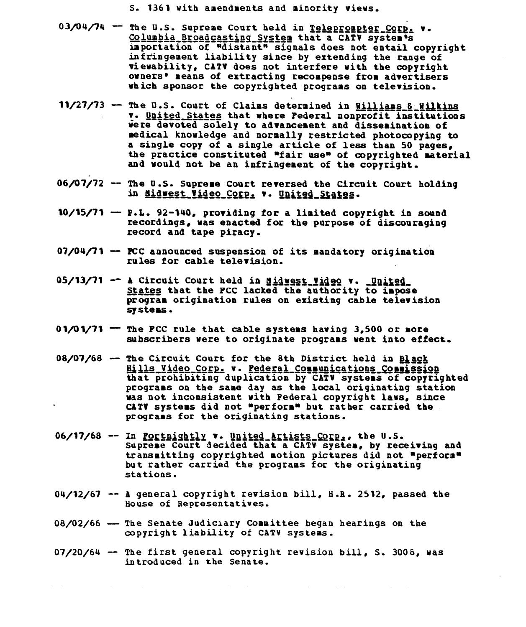S. 1361 with amendments and minority views.

- 03/04/74 The U.S. Supreme Court held in Teleprompter Corp. **v** Columbia Broadcastinq\_ **\_Sste** that a **CATI** systems importation of "distant" signals does not entail copyright infringement liability since **by** extending the range of vievability, **CATV** does not interfere with the copyright owners' means of extracting recompense from advertisers which sponsor the copyrighted programs on television.
- 11/27/73 The U.S. Court of Claims determined in Williams & Wilkins v. United States that where Pederal nonprofit institutions were devoted solely to advancement and dissemination of medical knowledge and normally restricted photocopying to<br>a single copy of a single article of less than 50 pages. the practice constituted "fair use" of copyrighted material and would not be an infringement of the copyright.
- **06/07/72 -- The U.S. Supreme Court reversed the Circuit Court holding<br>in <u>Midwest Video Corp.</u> v. <u>United States</u>.**
- **10/15/71** P.L. 92-140, providing for a limited copyright in sound recordings, was enacted for the purpose of discouraging record and tape piracy.
- **07/04/71 PCC** announced suspension of its mandatory origination rules for cable television.
- **05/13/71 -- A Circuit Court held in <u>didwest Video</u> v. <u>United</u><br>States that the PCC lacked the authority to impose** States that the PCC lacked the authority to impose<br>program origination rules on existing cable television **systems.**
- **01/01/71** The **FCC** rule that cable systems having **3,500** or more subscribers were to originate programs went into effect.
- **08/07/68** The Circuit Court for the 8th District held in **Black**<br>Hills Video Corp. v. Pederal Connunications Connissi that prohibiting duplication **by CATV** systems of copyrighted programs on the same day as the local originating station was not inconsistent with Federal copyright laws, since **CATY** systems did not "perform" but rather carried the programs for the originating stations.
- 06/17/68 -- In <u>Portnightly</u> v. United Artists Corp., the U.S. Supreme Court decided that a CATV system, **by** receiving and transmitting copyrighted motion pictures did not "perform" but rather carried the programs for the originating stations.
- 04/12/67 -- A general copyright revision bill, H.R. 2512, passed the House of Representatives.
- 08/02/66 The Senate Judiciary Committee began hearings on the copyright liability of CATV systems.
- 07/20/64 -- The first general copyright revision bill, S. 3008, was introduced in the Senate.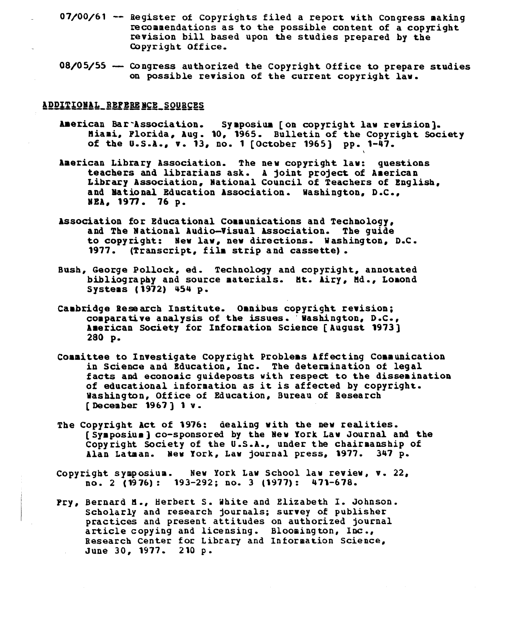- $07/00/61$  -- Register of Copyrights filed a report with Congress making<br>recommendations as to the possible content of a copyright revision bill based upon the studies prepared by the Copyright Office.
- $08/05/55$   $-$  Congress authorized the Copyright Office to prepare studies on possible revision of the current copyright law.

## ADDITIONAL REFERENCE SOURCES

- American Bar'Association. Symposium [on copyright law revision]. Miami, Florida, Aug. 10, 1965. Bulletin of the Copyright Society of the U.S.A., v. 13, no. 1 [October 1965) pp. 1-47.
- American Library Association. The new copyright law: questions teachers and librarians ask. A joint project of American Library Association, National Council of Teachers of English, and National Education Association. Washington, D.C., NEA, 1977. 76 p.
- Association for Educational Communications and Technology. and The National Audio-Visual Association. The guide to copyright: New law, new directions. Washington, D.C. 1977. (Transcript, film strip and cassette).
- Bush, George Pollock, ed. Technology and copyright, annotated bibliography and source materials. Mt. Airy, Md., Lomond Systems **(1972)** 454 p.
- Cambridge Research Institute. Oanibus copyright revision; comparative analysis of the issues. Washington, D.C., American Society for Information Science [ August 1973 ] 280 p.
- Committee to Investigate Copyright Problems Affecting Communication in Science and Education, Inc. The determination of legal facts and economic guideposts with respect to the dissemination of educational information as it is affected by copyright. Washington, Office of Education, Bureau of Research [December 1967] 1 v.
- The Copyright Act of 1976: dealing with the new realities. [Symposium] co-sponsored by the New York Law Journal and the Copyright Society of the U.S.A., under the chairmanship of Alan Latman. New York, Law journal press, 1977. 347 p.
- Copyright symposium. New York Law School law review, v. 22, no. 2 (1976): 193-292; no. 3 (1977): 471-678.
- Fry, Bernard M., Herbert S. White and Elizabeth I. Johnson. Scholarly and research journals; survey of publisher practices and present attitudes on authorized journal article copying and licensing. Bloomington, Inc., Research Center for Library and Information Science, June 30, 1977. 210 p.